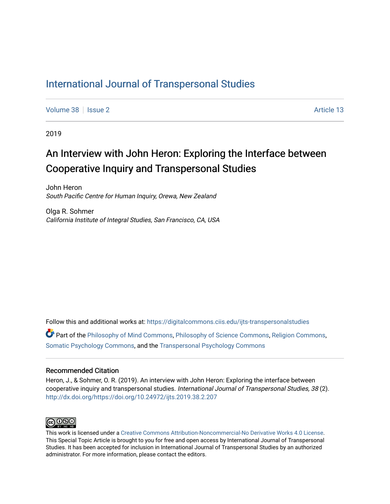## [International Journal of Transpersonal Studies](https://digitalcommons.ciis.edu/ijts-transpersonalstudies)

[Volume 38](https://digitalcommons.ciis.edu/ijts-transpersonalstudies/vol38) | [Issue 2](https://digitalcommons.ciis.edu/ijts-transpersonalstudies/vol38/iss2) Article 13

2019

## An Interview with John Heron: Exploring the Interface between Cooperative Inquiry and Transpersonal Studies

John Heron South Pacific Centre for Human Inquiry, Orewa, New Zealand

Olga R. Sohmer California Institute of Integral Studies, San Francisco, CA, USA

Follow this and additional works at: [https://digitalcommons.ciis.edu/ijts-transpersonalstudies](https://digitalcommons.ciis.edu/ijts-transpersonalstudies?utm_source=digitalcommons.ciis.edu%2Fijts-transpersonalstudies%2Fvol38%2Fiss2%2F13&utm_medium=PDF&utm_campaign=PDFCoverPages) 

Part of the [Philosophy of Mind Commons](http://network.bepress.com/hgg/discipline/535?utm_source=digitalcommons.ciis.edu%2Fijts-transpersonalstudies%2Fvol38%2Fiss2%2F13&utm_medium=PDF&utm_campaign=PDFCoverPages), [Philosophy of Science Commons,](http://network.bepress.com/hgg/discipline/536?utm_source=digitalcommons.ciis.edu%2Fijts-transpersonalstudies%2Fvol38%2Fiss2%2F13&utm_medium=PDF&utm_campaign=PDFCoverPages) [Religion Commons](http://network.bepress.com/hgg/discipline/538?utm_source=digitalcommons.ciis.edu%2Fijts-transpersonalstudies%2Fvol38%2Fiss2%2F13&utm_medium=PDF&utm_campaign=PDFCoverPages), [Somatic Psychology Commons,](http://network.bepress.com/hgg/discipline/1431?utm_source=digitalcommons.ciis.edu%2Fijts-transpersonalstudies%2Fvol38%2Fiss2%2F13&utm_medium=PDF&utm_campaign=PDFCoverPages) and the [Transpersonal Psychology Commons](http://network.bepress.com/hgg/discipline/1388?utm_source=digitalcommons.ciis.edu%2Fijts-transpersonalstudies%2Fvol38%2Fiss2%2F13&utm_medium=PDF&utm_campaign=PDFCoverPages) 

### Recommended Citation

Heron, J., & Sohmer, O. R. (2019). An interview with John Heron: Exploring the interface between cooperative inquiry and transpersonal studies. International Journal of Transpersonal Studies, 38 (2). <http://dx.doi.org/https://doi.org/10.24972/ijts.2019.38.2.207>



This work is licensed under a [Creative Commons Attribution-Noncommercial-No Derivative Works 4.0 License.](https://creativecommons.org/licenses/by-nc-nd/4.0/) This Special Topic Article is brought to you for free and open access by International Journal of Transpersonal Studies. It has been accepted for inclusion in International Journal of Transpersonal Studies by an authorized administrator. For more information, please contact the editors.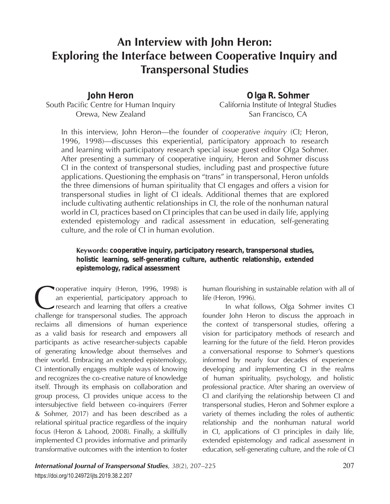# **An Interview with John Heron: Exploring the Interface between Cooperative Inquiry and Transpersonal Studies**

*John Heron* South Pacific Centre for Human Inquiry Orewa, New Zealand

*Olga R. Sohmer* California Institute of Integral Studies San Francisco, CA

In this interview, John Heron—the founder of *cooperative inquiry* (CI; Heron, 1996, 1998)—discusses this experiential, participatory approach to research and learning with participatory research special issue guest editor Olga Sohmer. After presenting a summary of cooperative inquiry, Heron and Sohmer discuss CI in the context of transpersonal studies, including past and prospective future applications. Questioning the emphasis on "trans" in transpersonal, Heron unfolds the three dimensions of human spirituality that CI engages and offers a vision for transpersonal studies in light of CI ideals. Additional themes that are explored include cultivating authentic relationships in CI, the role of the nonhuman natural world in CI, practices based on CI principles that can be used in daily life, applying extended epistemology and radical assessment in education, self-generating culture, and the role of CI in human evolution.

**Keywords:** *cooperative inquiry, participatory research, transpersonal studies, holistic learning, self-generating culture, authentic relationship, extended epistemology, radical assessment*

Cooperative inquiry (Heron, 1996, 1998) is<br>an experiential, participatory approach to<br>research and learning that offers a creative<br>challenge for transpersonal studies. The approach an experiential, participatory approach to research and learning that offers a creative challenge for transpersonal studies. The approach reclaims all dimensions of human experience as a valid basis for research and empowers all participants as active researcher-subjects capable of generating knowledge about themselves and their world. Embracing an extended epistemology, CI intentionally engages multiple ways of knowing and recognizes the co-creative nature of knowledge itself. Through its emphasis on collaboration and group process, CI provides unique access to the intersubjective field between co-inquirers (Ferrer & Sohmer, 2017) and has been described as a relational spiritual practice regardless of the inquiry focus (Heron & Lahood, 2008). Finally, a skillfully implemented CI provides informative and primarily transformative outcomes with the intention to foster

human flourishing in sustainable relation with all of life (Heron, 1996).

In what follows, Olga Sohmer invites CI founder John Heron to discuss the approach in the context of transpersonal studies, offering a vision for participatory methods of research and learning for the future of the field. Heron provides a conversational response to Sohmer's questions informed by nearly four decades of experience developing and implementing CI in the realms of human spirituality, psychology, and holistic professional practice. After sharing an overview of CI and clarifying the relationship between CI and transpersonal studies, Heron and Sohmer explore a variety of themes including the roles of authentic relationship and the nonhuman natural world in CI, applications of CI principles in daily life, extended epistemology and radical assessment in education, self-generating culture, and the role of CI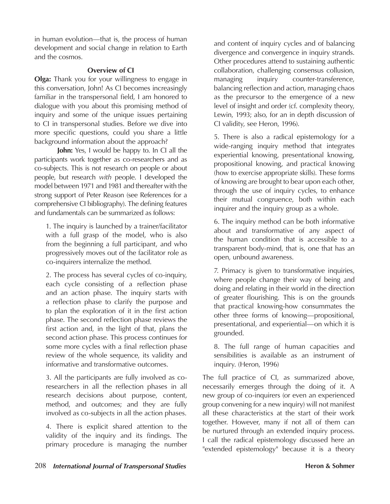in human evolution—that is, the process of human development and social change in relation to Earth and the cosmos.

### **Overview of CI**

**Olga:** Thank you for your willingness to engage in this conversation, John! As CI becomes increasingly familiar in the transpersonal field, I am honored to dialogue with you about this promising method of inquiry and some of the unique issues pertaining to CI in transpersonal studies. Before we dive into more specific questions, could you share a little background information about the approach?

**John:** Yes, I would be happy to. In CI all the participants work together as co-researchers and as co-subjects. This is not research on people or about people, but research *with* people. I developed the model between 1971 and 1981 and thereafter with the strong support of Peter Reason (see References for a comprehensive CI bibliography). The defining features and fundamentals can be summarized as follows:

1. The inquiry is launched by a trainer/facilitator with a full grasp of the model, who is also from the beginning a full participant, and who progressively moves out of the facilitator role as co-inquirers internalize the method.

2. The process has several cycles of co-inquiry, each cycle consisting of a reflection phase and an action phase. The inquiry starts with a reflection phase to clarify the purpose and to plan the exploration of it in the first action phase. The second reflection phase reviews the first action and, in the light of that, plans the second action phase. This process continues for some more cycles with a final reflection phase review of the whole sequence, its validity and informative and transformative outcomes.

3. All the participants are fully involved as coresearchers in all the reflection phases in all research decisions about purpose, content, method, and outcomes; and they are fully involved as co-subjects in all the action phases.

4. There is explicit shared attention to the validity of the inquiry and its findings. The primary procedure is managing the number

and content of inquiry cycles and of balancing divergence and convergence in inquiry strands. Other procedures attend to sustaining authentic collaboration, challenging consensus collusion, managing inquiry counter-transference, balancing reflection and action, managing chaos as the precursor to the emergence of a new level of insight and order (cf. complexity theory, Lewin, 1993; also, for an in depth discussion of CI validity, see Heron, 1996).

5. There is also a radical epistemology for a wide-ranging inquiry method that integrates experiential knowing, presentational knowing, propositional knowing, and practical knowing (how to exercise appropriate skills). These forms of knowing are brought to bear upon each other, through the use of inquiry cycles, to enhance their mutual congruence, both within each inquirer and the inquiry group as a whole.

6. The inquiry method can be both informative about and transformative of any aspect of the human condition that is accessible to a transparent body-mind, that is, one that has an open, unbound awareness.

7. Primacy is given to transformative inquiries, where people change their way of being and doing and relating in their world in the direction of greater flourishing. This is on the grounds that practical knowing-how consummates the other three forms of knowing—propositional, presentational, and experiential—on which it is grounded.

8. The full range of human capacities and sensibilities is available as an instrument of inquiry. (Heron, 1996)

The full practice of CI, as summarized above, necessarily emerges through the doing of it. A new group of co-inquirers (or even an experienced group convening for a new inquiry) will not manifest all these characteristics at the start of their work together. However, many if not all of them can be nurtured through an extended inquiry process. I call the radical epistemology discussed here an "extended epistemology" because it is a theory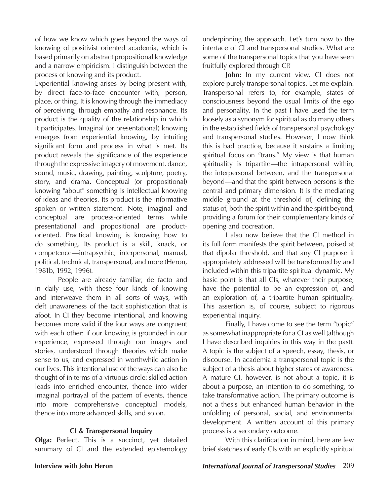of how we know which goes beyond the ways of knowing of positivist oriented academia, which is based primarily on abstract propositional knowledge and a narrow empiricism. I distinguish between the process of knowing and its product.

Experiential knowing arises by being present with, by direct face-to-face encounter with, person, place, or thing. It is knowing through the immediacy of perceiving, through empathy and resonance. Its product is the quality of the relationship in which it participates. Imaginal (or presentational) knowing emerges from experiential knowing, by intuiting significant form and process in what is met. Its product reveals the significance of the experience through the expressive imagery of movement, dance, sound, music, drawing, painting, sculpture, poetry, story, and drama. Conceptual (or propositional) knowing "about" something is intellectual knowing of ideas and theories. Its product is the informative spoken or written statement. Note, imaginal and conceptual are process-oriented terms while presentational and propositional are productoriented. Practical knowing is knowing how to do something. Its product is a skill, knack, or competence—intrapsychic, interpersonal, manual, political, technical, transpersonal, and more (Heron, 1981b, 1992, 1996).

People are already familiar, de facto and in daily use, with these four kinds of knowing and interweave them in all sorts of ways, with deft unawareness of the tacit sophistication that is afoot. In CI they become intentional, and knowing becomes more valid if the four ways are congruent with each other: if our knowing is grounded in our experience, expressed through our images and stories, understood through theories which make sense to us, and expressed in worthwhile action in our lives. This intentional use of the ways can also be thought of in terms of a virtuous circle: skilled action leads into enriched encounter, thence into wider imaginal portrayal of the pattern of events, thence into more comprehensive conceptual models, thence into more advanced skills, and so on.

### **CI & Transpersonal Inquiry**

**Olga:** Perfect. This is a succinct, yet detailed summary of CI and the extended epistemology underpinning the approach. Let's turn now to the interface of CI and transpersonal studies. What are some of the transpersonal topics that you have seen fruitfully explored through CI?

**John:** In my current view, CI does not explore purely transpersonal topics. Let me explain. Transpersonal refers to, for example, states of consciousness beyond the usual limits of the ego and personality. In the past I have used the term loosely as a synonym for spiritual as do many others in the established fields of transpersonal psychology and transpersonal studies. However, I now think this is bad practice, because it sustains a limiting spiritual focus on "trans." My view is that human spirituality is tripartite—the intrapersonal within, the interpersonal between, and the transpersonal beyond—and that the spirit between persons is the central and primary dimension. It is the mediating middle ground at the threshold of, defining the status of, both the spirit within and the spirit beyond, providing a forum for their complementary kinds of opening and cocreation.

I also now believe that the CI method in its full form manifests the spirit between, poised at that dipolar threshold, and that any CI purpose if appropriately addressed will be transformed by and included within this tripartite spiritual dynamic. My basic point is that all CIs, whatever their purpose, have the potential to be an expression of, and an exploration of, a tripartite human spirituality. This assertion is, of course, subject to rigorous experiential inquiry.

Finally, I have come to see the term "topic" as somewhat inappropriate for a CI as well (although I have described inquiries in this way in the past). A topic is the subject of a speech, essay, thesis, or discourse. In academia a transpersonal topic is the subject of a thesis about higher states of awareness. A mature CI, however, is not about a topic, it is about a purpose, an intention to do something, to take transformative action. The primary outcome is not a thesis but enhanced human behavior in the unfolding of personal, social, and environmental development. A written account of this primary process is a secondary outcome.

With this clarification in mind, here are few brief sketches of early CIs with an explicitly spiritual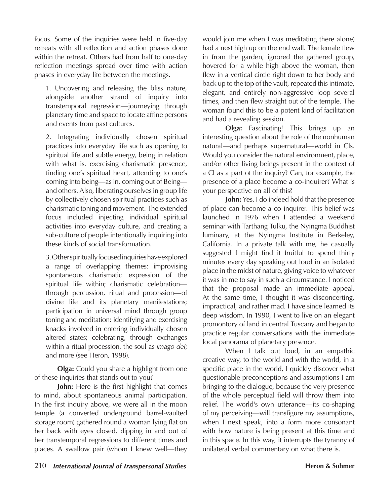focus. Some of the inquiries were held in five-day retreats with all reflection and action phases done within the retreat. Others had from half to one-day reflection meetings spread over time with action phases in everyday life between the meetings.

1. Uncovering and releasing the bliss nature, alongside another strand of inquiry into transtemporal regression—journeying through planetary time and space to locate affine persons and events from past cultures.

2. Integrating individually chosen spiritual practices into everyday life such as opening to spiritual life and subtle energy, being in relation with what is, exercising charismatic presence, finding one's spiritual heart, attending to one's coming into being—as in, coming out of Being and others. Also, liberating ourselves in group life by collectively chosen spiritual practices such as charismatic toning and movement. The extended focus included injecting individual spiritual activities into everyday culture, and creating a sub-culture of people intentionally inquiring into these kinds of social transformation.

3. Other spiritually focused inquiries have explored a range of overlapping themes: improvising spontaneous charismatic expression of the spiritual life within; charismatic celebration through percussion, ritual and procession—of divine life and its planetary manifestations; participation in universal mind through group toning and meditation; identifying and exercising knacks involved in entering individually chosen altered states; celebrating, through exchanges within a ritual procession, the soul as *imago dei*; and more (see Heron, 1998).

**Olga:** Could you share a highlight from one of these inquiries that stands out to you?

**John:** Here is the first highlight that comes to mind, about spontaneous animal participation. In the first inquiry above, we were all in the moon temple (a converted underground barrel-vaulted storage room) gathered round a woman lying flat on her back with eyes closed, dipping in and out of her transtemporal regressions to different times and places. A swallow pair (whom I knew well—they would join me when I was meditating there alone) had a nest high up on the end wall. The female flew in from the garden, ignored the gathered group, hovered for a while high above the woman, then flew in a vertical circle right down to her body and back up to the top of the vault, repeated this intimate, elegant, and entirely non-aggressive loop several times, and then flew straight out of the temple. The woman found this to be a potent kind of facilitation and had a revealing session.

**Olga:** Fascinating! This brings up an interesting question about the role of the nonhuman natural—and perhaps supernatural—world in CIs. Would you consider the natural environment, place, and/or other living beings present in the context of a CI as a part of the inquiry? Can, for example, the presence of a place become a co-inquirer? What is your perspective on all of this?

**John:** Yes, I do indeed hold that the presence of place can become a co-inquirer. This belief was launched in 1976 when I attended a weekend seminar with Tarthang Tulku, the Nyingma Buddhist luminary, at the Nyingma Institute in Berkeley, California. In a private talk with me, he casually suggested I might find it fruitful to spend thirty minutes every day speaking out loud in an isolated place in the midst of nature, giving voice to whatever it was in me to say in such a circumstance. I noticed that the proposal made an immediate appeal. At the same time, I thought it was disconcerting, impractical, and rather mad. I have since learned its deep wisdom. In 1990, I went to live on an elegant promontory of land in central Tuscany and began to practice regular conversations with the immediate local panorama of planetary presence.

When I talk out loud, in an empathic creative way, to the world and with the world, in a specific place in the world, I quickly discover what questionable preconceptions and assumptions I am bringing to the dialogue, because the very presence of the whole perceptual field will throw them into relief. The world's own utterance—its co-shaping of my perceiving—will transfigure my assumptions, when I next speak, into a form more consonant with how nature is being present at this time and in this space. In this way, it interrupts the tyranny of unilateral verbal commentary on what there is.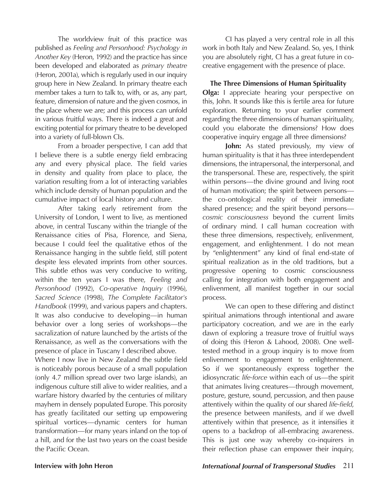The worldview fruit of this practice was published as *Feeling and Personhood: Psychology in Another Key* (Heron, 1992) and the practice has since been developed and elaborated as *primary theatre* (Heron, 2001a), which is regularly used in our inquiry group here in New Zealand. In primary theatre each member takes a turn to talk to, with, or as, any part, feature, dimension of nature and the given cosmos, in the place where we are; and this process can unfold in various fruitful ways. There is indeed a great and exciting potential for primary theatre to be developed into a variety of full-blown CIs.

From a broader perspective, I can add that I believe there is a subtle energy field embracing any and every physical place. The field varies in density and quality from place to place, the variation resulting from a lot of interacting variables which include density of human population and the cumulative impact of local history and culture.

After taking early retirement from the University of London, I went to live, as mentioned above, in central Tuscany within the triangle of the Renaissance cities of Pisa, Florence, and Siena, because I could feel the qualitative ethos of the Renaissance hanging in the subtle field, still potent despite less elevated imprints from other sources. This subtle ethos was very conducive to writing, within the ten years I was there, *Feeling and Personhood* (1992), *Co-operative Inquiry* (1996), *Sacred Science* (1998), *The Complete Facilitator's Handbook* (1999), and various papers and chapters. It was also conducive to developing—in human behavior over a long series of workshops—the sacralization of nature launched by the artists of the Renaissance, as well as the conversations with the presence of place in Tuscany I described above.

Where I now live in New Zealand the subtle field is noticeably porous because of a small population (only 4.7 million spread over two large islands), an indigenous culture still alive to wider realities, and a warfare history dwarfed by the centuries of military mayhem in densely populated Europe. This porosity has greatly facilitated our setting up empowering spiritual vortices—dynamic centers for human transformation—for many years inland on the top of a hill, and for the last two years on the coast beside the Pacific Ocean.

CI has played a very central role in all this work in both Italy and New Zealand. So, yes, I think you are absolutely right, CI has a great future in cocreative engagement with the presence of place.

**The Three Dimensions of Human Spirituality Olga:** I appreciate hearing your perspective on this, John. It sounds like this is fertile area for future exploration. Returning to your earlier comment regarding the three dimensions of human spirituality, could you elaborate the dimensions? How does cooperative inquiry engage all three dimensions?

**John:** As stated previously, my view of human spirituality is that it has three interdependent dimensions, the intrapersonal, the interpersonal, and the transpersonal. These are, respectively, the spirit within persons—the divine ground and living root of human motivation; the spirit between persons the co-ontological reality of their immediate shared presence; and the spirit beyond persons *cosmic consciousness* beyond the current limits of ordinary mind. I call human cocreation with these three dimensions, respectively, enlivenment, engagement, and enlightenment. I do not mean by "enlightenment" any kind of final end-state of spiritual realization as in the old traditions, but a progressive opening to cosmic consciousness calling for integration with both engagement and enlivenment, all manifest together in our social process.

We can open to these differing and distinct spiritual animations through intentional and aware participatory cocreation, and we are in the early dawn of exploring a treasure trove of fruitful ways of doing this (Heron & Lahood, 2008). One welltested method in a group inquiry is to move from enlivenment to engagement to enlightenment. So if we spontaneously express together the idiosyncratic *life-force* within each of us—the spirit that animates living creatures—through movement, posture, gesture, sound, percussion, and then pause attentively within the quality of our shared *life-field*, the presence between manifests, and if we dwell attentively within that presence, as it intensifies it opens to a backdrop of all-embracing awareness. This is just one way whereby co-inquirers in their reflection phase can empower their inquiry,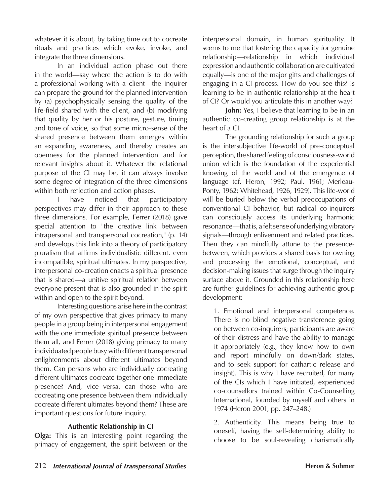whatever it is about, by taking time out to cocreate rituals and practices which evoke, invoke, and integrate the three dimensions.

In an individual action phase out there in the world—say where the action is to do with a professional working with a client—the inquirer can prepare the ground for the planned intervention by (a) psychophysically sensing the quality of the life-field shared with the client, and (b) modifying that quality by her or his posture, gesture, timing and tone of voice, so that some micro-sense of the shared presence between them emerges within an expanding awareness, and thereby creates an openness for the planned intervention and for relevant insights about it. Whatever the relational purpose of the CI may be, it can always involve some degree of integration of the three dimensions within both reflection and action phases.

I have noticed that participatory perspectives may differ in their approach to these three dimensions. For example, Ferrer (2018) gave special attention to "the creative link between intrapersonal and transpersonal cocreation," (p. 14) and develops this link into a theory of participatory pluralism that affirms individualistic different, even incompatible, spiritual ultimates. In my perspective, interpersonal co-creation enacts a spiritual presence that is shared—a unitive spiritual relation between everyone present that is also grounded in the spirit within and open to the spirit beyond.

Interesting questions arise here in the contrast of my own perspective that gives primacy to many people in a group being in interpersonal engagement with the one immediate spiritual presence between them all, and Ferrer (2018) giving primacy to many individuated people busy with different transpersonal enlightenments about different ultimates beyond them. Can persons who are individually cocreating different ultimates cocreate together one immediate presence? And, vice versa, can those who are cocreating one presence between them individually cocreate different ultimates beyond them? These are important questions for future inquiry.

### **Authentic Relationship in CI**

**Olga:** This is an interesting point regarding the primacy of engagement, the spirit between or the interpersonal domain, in human spirituality. It seems to me that fostering the capacity for genuine relationship—relationship in which individual expression and authentic collaboration are cultivated equally—is one of the major gifts and challenges of engaging in a CI process. How do you see this? Is learning to be in authentic relationship at the heart of CI? Or would you articulate this in another way?

**John:** Yes, I believe that learning to be in an authentic co-creating group relationship is at the heart of a CI.

The grounding relationship for such a group is the intersubjective life-world of pre-conceptual perception, the shared feeling of consciousness-world union which is the foundation of the experiential knowing of the world and of the emergence of language (cf. Heron, 1992; Paul, 1961; Merleau-Ponty, 1962; Whitehead, 1926, 1929). This life-world will be buried below the verbal preoccupations of conventional CI behavior, but radical co-inquirers can consciously access its underlying harmonic resonance—that is, a felt sense of underlying vibratory signals—through enlivenment and related practices. Then they can mindfully attune to the presencebetween, which provides a shared basis for owning and processing the emotional, conceptual, and decision-making issues that surge through the inquiry surface above it. Grounded in this relationship here are further guidelines for achieving authentic group development:

1. Emotional and interpersonal competence. There is no blind negative transference going on between co-inquirers; participants are aware of their distress and have the ability to manage it appropriately (e.g., they know how to own and report mindfully on down/dark states, and to seek support for cathartic release and insight). This is why I have recruited, for many of the CIs which I have initiated, experienced co-counsellors trained within Co-Counselling International, founded by myself and others in 1974 (Heron 2001, pp. 247–248.)

2. Authenticity. This means being true to oneself, having the self-determining ability to choose to be soul-revealing charismatically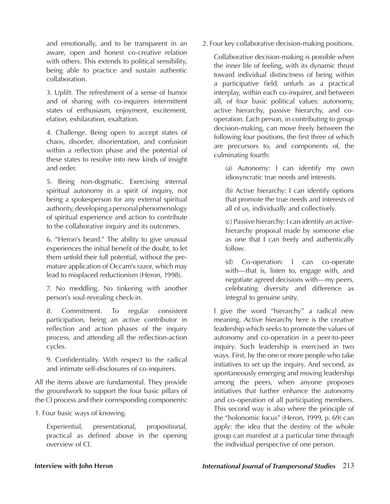and emotionally, and to be transparent in an aware, open and honest co-creative relation with others. This extends to political sensibility, being able to practice and sustain authentic collaboration.

3. Uplift. The refreshment of a sense of humor and of sharing with co-inquirers intermittent states of enthusiasm, enjoyment, excitement, elation, exhilaration, exaltation.

4. Challenge. Being open to accept states of chaos, disorder, disorientation, and confusion within a reflection phase and the potential of these states to resolve into new kinds of insight and order.

5. Being non-dogmatic. Exercising internal spiritual autonomy in a spirit of inquiry, not being a spokesperson for any external spiritual authority, developing a personal phenomenology of spiritual experience and action to contribute to the collaborative inquiry and its outcomes.

6. "Heron's beard." The ability to give unusual experiences the initial benefit of the doubt, to let them unfold their full potential, without the premature application of Occam's razor, which may lead to misplaced reductionism (Heron, 1998).

7. No meddling. No tinkering with another person's soul-revealing check-in.

8. Commitment. To regular consistent participation, being an active contributor in reflection and action phases of the inquiry process, and attending all the reflection-action cycles.

9. Confidentiality. With respect to the radical and intimate self-disclosures of co-inquirers.

All the items above are fundamental. They provide the groundwork to support the four basic pillars of the CI process and their corresponding components:

1. Four basic ways of knowing.

Experiential, presentational, propositional, practical as defined above in the opening overview of CI.

2. Four key collaborative decision-making positions.

Collaborative decision-making is possible when the inner life of feeling, with its dynamic thrust toward individual distinctness of being within a participative field, unfurls as a practical interplay, within each co-inquirer, and between all, of four basic political values: autonomy, active hierarchy, passive hierarchy, and cooperation. Each person, in contributing to group decision-making, can move freely between the following four positions, the first three of which are precursors to, and components of, the culminating fourth:

(a) Autonomy: I can identify my own idiosyncratic true needs and interests.

(b) Active hierarchy: I can identify options that promote the true needs and interests of all of us, individually and collectively.

(c) Passive hierarchy: I can identify an activehierarchy proposal made by someone else as one that I can freely and authentically follow.

(d) Co-operation: I can co-operate with—that is, listen to, engage with, and negotiate agreed decisions with—my peers, celebrating diversity and difference as integral to genuine unity.

I give the word "hierarchy" a radical new meaning. Active hierarchy here is the creative leadership which seeks to promote the values of autonomy and co-operation in a peer-to-peer inquiry. Such leadership is exercised in two ways. First, by the one or more people who take initiatives to set up the inquiry. And second, as spontaneously emerging and moving leadership among the peers, when anyone proposes initiatives that further enhance the autonomy and co-operation of all participating members. This second way is also where the principle of the "holonomic focus" (Heron, 1999, p. 69) can apply: the idea that the destiny of the whole group can manifest at a particular time through the individual perspective of one person.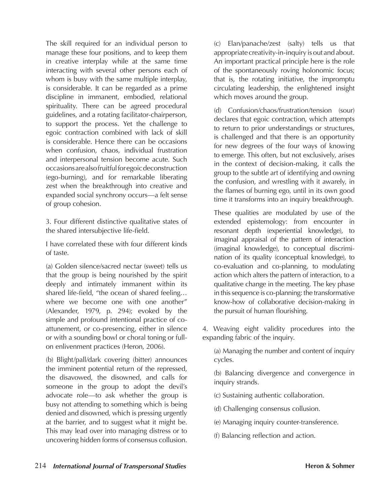The skill required for an individual person to manage these four positions, and to keep them in creative interplay while at the same time interacting with several other persons each of whom is busy with the same multiple interplay, is considerable. It can be regarded as a prime discipline in immanent, embodied, relational spirituality. There can be agreed procedural guidelines, and a rotating facilitator-chairperson, to support the process. Yet the challenge to egoic contraction combined with lack of skill is considerable. Hence there can be occasions when confusion, chaos, individual frustration and interpersonal tension become acute. Such occasions are also fruitful for egoic deconstruction (ego-burning), and for remarkable liberating zest when the breakthrough into creative and expanded social synchrony occurs—a felt sense of group cohesion.

3. Four different distinctive qualitative states of the shared intersubjective life-field.

I have correlated these with four different kinds of taste.

(a) Golden silence/sacred nectar (sweet) tells us that the group is being nourished by the spirit deeply and intimately immanent within its shared life-field, "the ocean of shared feeling… where we become one with one another" (Alexander, 1979, p. 294); evoked by the simple and profound intentional practice of coattunement, or co-presencing, either in silence or with a sounding bowl or choral toning or fullon enlivenment practices (Heron, 2006).

(b) Blight/pall/dark covering (bitter) announces the imminent potential return of the repressed, the disavowed, the disowned, and calls for someone in the group to adopt the devil's advocate role—to ask whether the group is busy not attending to something which is being denied and disowned, which is pressing urgently at the barrier, and to suggest what it might be. This may lead over into managing distress or to uncovering hidden forms of consensus collusion.

(c) Elan/panache/zest (salty) tells us that appropriate creativity-in-inquiry is out and about. An important practical principle here is the role of the spontaneously roving holonomic focus; that is, the rotating initiative, the impromptu circulating leadership, the enlightened insight which moves around the group.

(d) Confusion/chaos/frustration/tension (sour) declares that egoic contraction, which attempts to return to prior understandings or structures, is challenged and that there is an opportunity for new degrees of the four ways of knowing to emerge. This often, but not exclusively, arises in the context of decision-making, it calls the group to the subtle art of identifying and owning the confusion, and wrestling with it awarely, in the flames of burning ego, until in its own good time it transforms into an inquiry breakthrough.

These qualities are modulated by use of the extended epistemology: from encounter in resonant depth (experiential knowledge), to imaginal appraisal of the pattern of interaction (imaginal knowledge), to conceptual discrimination of its quality (conceptual knowledge), to co-evaluation and co-planning, to modulating action which alters the pattern of interaction, to a qualitative change in the meeting. The key phase in this sequence is co-planning: the transformative know-how of collaborative decision-making in the pursuit of human flourishing.

4. Weaving eight validity procedures into the expanding fabric of the inquiry.

(a) Managing the number and content of inquiry cycles.

(b) Balancing divergence and convergence in inquiry strands.

(c) Sustaining authentic collaboration.

(d) Challenging consensus collusion.

(e) Managing inquiry counter-transference.

(f) Balancing reflection and action.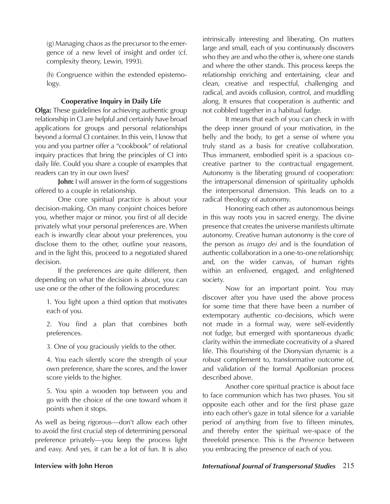(g) Managing chaos as the precursor to the emergence of a new level of insight and order (cf. complexity theory, Lewin, 1993).

(h) Congruence within the extended epistemology.

### **Cooperative Inquiry in Daily Life**

**Olga:** These guidelines for achieving authentic group relationship in CI are helpful and certainly have broad applications for groups and personal relationships beyond a formal CI container. In this vein, I know that you and you partner offer a "cookbook" of relational inquiry practices that bring the principles of CI into daily life. Could you share a couple of examples that readers can try in our own lives?

**John:** I will answer in the form of suggestions offered to a couple in relationship.

One core spiritual practice is about your decision-making. On many conjoint choices before you, whether major or minor, you first of all decide privately what your personal preferences are. When each is inwardly clear about your preferences, you disclose them to the other, outline your reasons, and in the light this, proceed to a negotiated shared decision.

If the preferences are quite different, then depending on what the decision is about, you can use one or the other of the following procedures:

1. You light upon a third option that motivates each of you.

2. You find a plan that combines both preferences.

3. One of you graciously yields to the other.

4. You each silently score the strength of your own preference, share the scores, and the lower score yields to the higher.

5. You spin a wooden top between you and go with the choice of the one toward whom it points when it stops.

As well as being rigorous—don't allow each other to avoid the first crucial step of determining personal preference privately—you keep the process light and easy. And yes, it can be a lot of fun. It is also

intrinsically interesting and liberating. On matters large and small, each of you continuously discovers who they are and who the other is, where one stands and where the other stands. This process keeps the relationship enriching and entertaining, clear and clean, creative and respectful, challenging and radical, and avoids collusion, control, and muddling along. It ensures that cooperation is authentic and not cobbled together in a habitual fudge.

It means that each of you can check in with the deep inner ground of your motivation, in the belly and the body, to get a sense of where you truly stand as a basis for creative collaboration. Thus immanent, embodied spirit is a spacious cocreative partner to the contractual engagement. Autonomy is the liberating ground of cooperation: the intrapersonal dimension of spirituality upholds the interpersonal dimension. This leads on to a radical theology of autonomy.

Honoring each other as autonomous beings in this way roots you in sacred energy. The divine presence that creates the universe manifests ultimate autonomy. Creative human autonomy is the core of the person as *imago dei* and is the foundation of authentic collaboration in a one-to-one relationship; and, on the wider canvas, of human rights within an enlivened, engaged, and enlightened society.

Now for an important point. You may discover after you have used the above process for some time that there have been a number of extemporary authentic co-decisions, which were not made in a formal way, were self-evidently not fudge, but emerged with spontaneous dyadic clarity within the immediate cocreativity of a shared life. This flourishing of the Dionysian dynamic is a robust complement to, transformative outcome of, and validation of the formal Apollonian process described above.

Another core spiritual practice is about face to face communion which has two phases. You sit opposite each other and for the first phase gaze into each other's gaze in total silence for a variable period of anything from five to fifteen minutes, and thereby enter the spiritual we-space of the threefold presence. This is the *Presence* between you embracing the presence of each of you.

### **Interview with John Heron** *International Journal of Transpersonal Studies* 215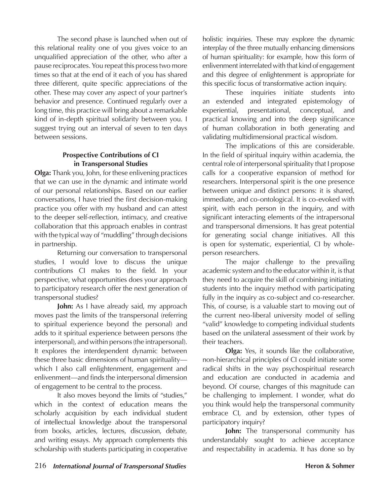The second phase is launched when out of this relational reality one of you gives voice to an unqualified appreciation of the other, who after a pause reciprocates. You repeat this process two more times so that at the end of it each of you has shared three different, quite specific appreciations of the other. These may cover any aspect of your partner's behavior and presence. Continued regularly over a long time, this practice will bring about a remarkable kind of in-depth spiritual solidarity between you. I suggest trying out an interval of seven to ten days between sessions.

### **Prospective Contributions of CI in Transpersonal Studies**

**Olga:** Thank you, John, for these enlivening practices that we can use in the dynamic and intimate world of our personal relationships. Based on our earlier conversations, I have tried the first decision-making practice you offer with my husband and can attest to the deeper self-reflection, intimacy, and creative collaboration that this approach enables in contrast with the typical way of "muddling" through decisions in partnership.

Returning our conversation to transpersonal studies, I would love to discuss the unique contributions CI makes to the field. In your perspective, what opportunities does your approach to participatory research offer the next generation of transpersonal studies?

John: As I have already said, my approach moves past the limits of the transpersonal (referring to spiritual experience beyond the personal) and adds to it spiritual experience between persons (the interpersonal), and within persons (the intrapersonal). It explores the interdependent dynamic between these three basic dimensions of human spirituality which I also call enlightenment, engagement and enlivenment—and finds the interpersonal dimension of engagement to be central to the process.

It also moves beyond the limits of "studies," which in the context of education means the scholarly acquisition by each individual student of intellectual knowledge about the transpersonal from books, articles, lectures, discussion, debate, and writing essays. My approach complements this scholarship with students participating in cooperative holistic inquiries. These may explore the dynamic interplay of the three mutually enhancing dimensions of human spirituality: for example, how this form of enlivenment interrelated with that kind of engagement and this degree of enlightenment is appropriate for this specific focus of transformative action inquiry.

These inquiries initiate students into an extended and integrated epistemology of experiential, presentational, conceptual, and practical knowing and into the deep significance of human collaboration in both generating and validating multidimensional practical wisdom.

The implications of this are considerable. In the field of spiritual inquiry within academia, the central role of interpersonal spirituality that I propose calls for a cooperative expansion of method for researchers. Interpersonal spirit is the one presence between unique and distinct persons: it is shared, immediate, and co-ontological. It is co-evoked with spirit, with each person in the inquiry, and with significant interacting elements of the intrapersonal and transpersonal dimensions. It has great potential for generating social change initiatives. All this is open for systematic, experiential, CI by wholeperson researchers.

The major challenge to the prevailing academic system and to the educator within it, is that they need to acquire the skill of combining initiating students into the inquiry method with participating fully in the inquiry as co-subject and co-researcher. This, of course, is a valuable start to moving out of the current neo-liberal university model of selling "valid" knowledge to competing individual students based on the unilateral assessment of their work by their teachers.

**Olga:** Yes, it sounds like the collaborative, non-hierarchical principles of CI could initiate some radical shifts in the way psychospiritual research and education are conducted in academia and beyond. Of course, changes of this magnitude can be challenging to implement. I wonder, what do you think would help the transpersonal community embrace CI, and by extension, other types of participatory inquiry?

**John:** The transpersonal community has understandably sought to achieve acceptance and respectability in academia. It has done so by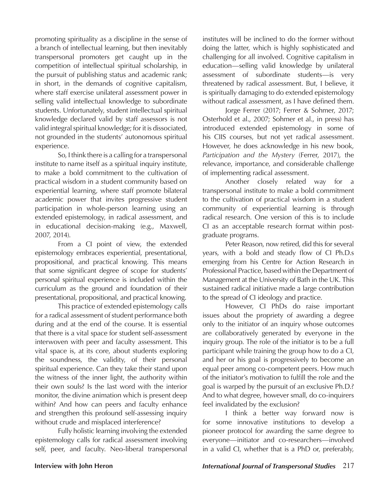promoting spirituality as a discipline in the sense of a branch of intellectual learning, but then inevitably transpersonal promoters get caught up in the competition of intellectual spiritual scholarship, in the pursuit of publishing status and academic rank; in short, in the demands of cognitive capitalism, where staff exercise unilateral assessment power in selling valid intellectual knowledge to subordinate students. Unfortunately, student intellectual spiritual knowledge declared valid by staff assessors is not valid integral spiritual knowledge; for it is dissociated, not grounded in the students' autonomous spiritual experience.

So, I think there is a calling for a transpersonal institute to name itself as a spiritual inquiry institute, to make a bold commitment to the cultivation of practical wisdom in a student community based on experiential learning, where staff promote bilateral academic power that invites progressive student participation in whole-person learning using an extended epistemology, in radical assessment, and in educational decision-making (e.g., Maxwell, 2007, 2014).

From a CI point of view, the extended epistemology embraces experiential, presentational, propositional, and practical knowing. This means that some significant degree of scope for students' personal spiritual experience is included within the curriculum as the ground and foundation of their presentational, propositional, and practical knowing.

This practice of extended epistemology calls for a radical assessment of student performance both during and at the end of the course. It is essential that there is a vital space for student self-assessment interwoven with peer and faculty assessment. This vital space is, at its core, about students exploring the soundness, the validity, of their personal spiritual experience. Can they take their stand upon the witness of the inner light, the authority within their own souls? Is the last word with the interior monitor, the divine animation which is present deep within? And how can peers and faculty enhance and strengthen this profound self-assessing inquiry without crude and misplaced interference?

Fully holistic learning involving the extended epistemology calls for radical assessment involving self, peer, and faculty. Neo-liberal transpersonal

institutes will be inclined to do the former without doing the latter, which is highly sophisticated and challenging for all involved. Cognitive capitalism in education—selling valid knowledge by unilateral assessment of subordinate students—is very threatened by radical assessment. But, I believe, it is spiritually damaging to do extended epistemology without radical assessment, as I have defined them.

Jorge Ferrer (2017; Ferrer & Sohmer, 2017; Osterhold et al., 2007; Sohmer et al., in press) has introduced extended epistemology in some of his CIIS courses, but not yet radical assessment. However, he does acknowledge in his new book, *Participation and the Mystery* (Ferrer, 2017), the relevance, importance, and considerable challenge of implementing radical assessment.

Another closely related way for a transpersonal institute to make a bold commitment to the cultivation of practical wisdom in a student community of experiential learning is through radical research. One version of this is to include CI as an acceptable research format within postgraduate programs.

Peter Reason, now retired, did this for several years, with a bold and steady flow of CI Ph.D.s emerging from his Centre for Action Research in Professional Practice, based within the Department of Management at the University of Bath in the UK. This sustained radical initiative made a large contribution to the spread of CI ideology and practice.

However, CI PhDs do raise important issues about the propriety of awarding a degree only to the initiator of an inquiry whose outcomes are collaboratively generated by everyone in the inquiry group. The role of the initiator is to be a full participant while training the group how to do a CI, and her or his goal is progressively to become an equal peer among co-competent peers. How much of the initiator's motivation to fulfill the role and the goal is warped by the pursuit of an exclusive Ph.D.? And to what degree, however small, do co-inquirers feel invalidated by the exclusion?

I think a better way forward now is for some innovative institutions to develop a pioneer protocol for awarding the same degree to everyone—initiator and co-researchers—involved in a valid CI, whether that is a PhD or, preferably,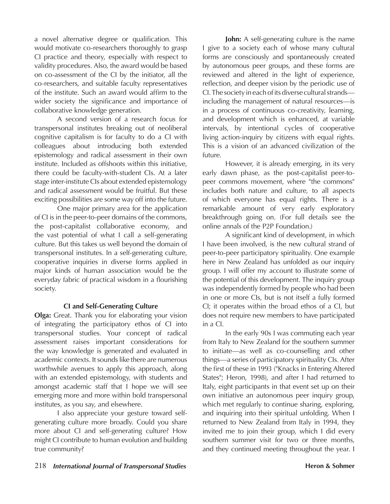a novel alternative degree or qualification. This would motivate co-researchers thoroughly to grasp CI practice and theory, especially with respect to validity procedures. Also, the award would be based on co-assessment of the CI by the initiator, all the co-researchers, and suitable faculty representatives of the institute. Such an award would affirm to the wider society the significance and importance of collaborative knowledge generation.

A second version of a research focus for transpersonal institutes breaking out of neoliberal cognitive capitalism is for faculty to do a CI with colleagues about introducing both extended epistemology and radical assessment in their own institute. Included as offshoots within this initiative, there could be faculty-with-student CIs. At a later stage inter-institute CIs about extended epistemology and radical assessment would be fruitful. But these exciting possibilities are some way off into the future.

One major primary area for the application of CI is in the peer-to-peer domains of the commons, the post-capitalist collaborative economy, and the vast potential of what I call a self-generating culture. But this takes us well beyond the domain of transpersonal institutes. In a self-generating culture, cooperative inquiries in diverse forms applied in major kinds of human association would be the everyday fabric of practical wisdom in a flourishing society.

### **CI and Self-Generating Culture**

**Olga:** Great. Thank you for elaborating your vision of integrating the participatory ethos of CI into transpersonal studies. Your concept of radical assessment raises important considerations for the way knowledge is generated and evaluated in academic contexts. It sounds like there are numerous worthwhile avenues to apply this approach, along with an extended epistemology, with students and amongst academic staff that I hope we will see emerging more and more within bold transpersonal institutes, as you say, and elsewhere.

I also appreciate your gesture toward selfgenerating culture more broadly. Could you share more about CI and self-generating culture? How might CI contribute to human evolution and building true community?

**John:** A self-generating culture is the name I give to a society each of whose many cultural forms are consciously and spontaneously created by autonomous peer groups, and these forms are reviewed and altered in the light of experience, reflection, and deeper vision by the periodic use of CI. The society in each of its diverse cultural strands including the management of natural resources—is in a process of continuous co-creativity, learning, and development which is enhanced, at variable intervals, by intentional cycles of cooperative living action-inquiry by citizens with equal rights. This is a vision of an advanced civilization of the future.

However, it is already emerging, in its very early dawn phase, as the post-capitalist peer-topeer commons movement, where "the commons" includes both nature and culture, to all aspects of which everyone has equal rights. There is a remarkable amount of very early exploratory breakthrough going on. (For full details see the online annals of the P2P Foundation.)

A significant kind of development, in which I have been involved, is the new cultural strand of peer-to-peer participatory spirituality. One example here in New Zealand has unfolded as our inquiry group. I will offer my account to illustrate some of the potential of this development. The inquiry group was independently formed by people who had been in one or more CIs, but is not itself a fully formed CI; it operates within the broad ethos of a CI, but does not require new members to have participated in a CI.

In the early 90s I was commuting each year from Italy to New Zealand for the southern summer to initiate—as well as co-counselling and other things—a series of participatory spirituality CIs. After the first of these in 1993 ("Knacks in Entering Altered States"; Heron, 1998), and after I had returned to Italy, eight participants in that event set up on their own initiative an autonomous peer inquiry group, which met regularly to continue sharing, exploring, and inquiring into their spiritual unfolding. When I returned to New Zealand from Italy in 1994, they invited me to join their group, which I did every southern summer visit for two or three months, and they continued meeting throughout the year. I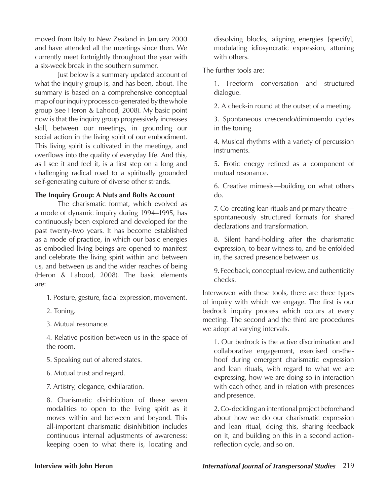moved from Italy to New Zealand in January 2000 and have attended all the meetings since then. We currently meet fortnightly throughout the year with a six-week break in the southern summer.

Just below is a summary updated account of what the inquiry group is, and has been, about. The summary is based on a comprehensive conceptual map of our inquiry process co-generated by the whole group (see Heron & Lahood, 2008). My basic point now is that the inquiry group progressively increases skill, between our meetings, in grounding our social action in the living spirit of our embodiment. This living spirit is cultivated in the meetings, and overflows into the quality of everyday life. And this, as I see it and feel it, is a first step on a long and challenging radical road to a spiritually grounded self-generating culture of diverse other strands.

### **The Inquiry Group: A Nuts and Bolts Account**

The charismatic format, which evolved as a mode of dynamic inquiry during 1994–1995, has continuously been explored and developed for the past twenty-two years. It has become established as a mode of practice, in which our basic energies as embodied living beings are opened to manifest and celebrate the living spirit within and between us, and between us and the wider reaches of being (Heron & Lahood, 2008).The basic elements are:

- 1. Posture, gesture, facial expression, movement.
- 2. Toning.
- 3. Mutual resonance.

4. Relative position between us in the space of the room.

- 5. Speaking out of altered states.
- 6. Mutual trust and regard.
- 7. Artistry, elegance, exhilaration.

8. Charismatic disinhibition of these seven modalities to open to the living spirit as it moves within and between and beyond. This all-important charismatic disinhibition includes continuous internal adjustments of awareness: keeping open to what there is, locating and

dissolving blocks, aligning energies [specify], modulating idiosyncratic expression, attuning with others.

The further tools are:

1. Freeform conversation and structured dialogue.

2. A check-in round at the outset of a meeting.

3. Spontaneous crescendo/diminuendo cycles in the toning.

4. Musical rhythms with a variety of percussion instruments.

5. Erotic energy refined as a component of mutual resonance.

6. Creative mimesis—building on what others do.

7. Co-creating lean rituals and primary theatre spontaneously structured formats for shared declarations and transformation.

8. Silent hand-holding after the charismatic expression, to bear witness to, and be enfolded in, the sacred presence between us.

9. Feedback, conceptual review, and authenticity checks.

Interwoven with these tools, there are three types of inquiry with which we engage. The first is our bedrock inquiry process which occurs at every meeting. The second and the third are procedures we adopt at varying intervals.

1. Our bedrock is the active discrimination and collaborative engagement, exercised on-thehoof during emergent charismatic expression and lean rituals, with regard to what we are expressing, how we are doing so in interaction with each other, and in relation with presences and presence.

2. Co-deciding an intentional project beforehand about how we do our charismatic expression and lean ritual, doing this, sharing feedback on it, and building on this in a second actionreflection cycle, and so on.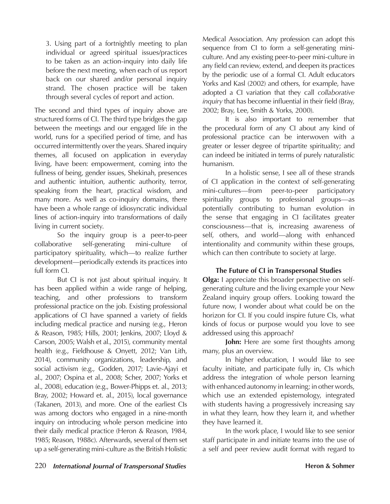3. Using part of a fortnightly meeting to plan individual or agreed spiritual issues/practices to be taken as an action-inquiry into daily life before the next meeting, when each of us report back on our shared and/or personal inquiry strand. The chosen practice will be taken through several cycles of report and action.

The second and third types of inquiry above are structured forms of CI. The third type bridges the gap between the meetings and our engaged life in the world, runs for a specified period of time, and has occurred intermittently over the years. Shared inquiry themes, all focused on application in everyday living, have been: empowerment, coming into the fullness of being, gender issues, Shekinah, presences and authentic intuition, authentic authority, terror, speaking from the heart, practical wisdom, and many more. As well as co-inquiry domains, there have been a whole range of idiosyncratic individual lines of action-inquiry into transformations of daily living in current society.

So the inquiry group is a peer-to-peer collaborative self-generating mini-culture of participatory spirituality, which—to realize further development—periodically extends its practices into full form CI.

But CI is not just about spiritual inquiry. It has been applied within a wide range of helping, teaching, and other professions to transform professional practice on the job. Existing professional applications of CI have spanned a variety of fields including medical practice and nursing (e.g., Heron & Reason, 1985; Hills, 2001; Jenkins, 2007; Lloyd & Carson, 2005; Walsh et al., 2015), community mental health (e.g., Fieldhouse & Onyett, 2012; Van Lith, 2014), community organizations, leadership, and social activism (e.g., Godden, 2017; Lavie-Ajayi et al., 2007; Ospina et al., 2008; Scher, 2007; Yorks et al., 2008), education (e.g., Bower-Phipps et. al., 2013; Bray, 2002; Howard et. al., 2015), local governance (Takanen, 2013), and more. One of the earliest CIs was among doctors who engaged in a nine-month inquiry on introducing whole person medicine into their daily medical practice (Heron & Reason, 1984, 1985; Reason, 1988c). Afterwards, several of them set up a self-generating mini-culture as the British Holistic

Medical Association. Any profession can adopt this sequence from CI to form a self-generating miniculture. And any existing peer-to-peer mini-culture in any field can review, extend, and deepen its practices by the periodic use of a formal CI. Adult educators Yorks and Kasl (2002) and others, for example, have adopted a CI variation that they call *collaborative inquiry* that has become influential in their field (Bray, 2002; Bray, Lee, Smith & Yorks, 2000).

It is also important to remember that the procedural form of any CI about any kind of professional practice can be interwoven with a greater or lesser degree of tripartite spirituality; and can indeed be initiated in terms of purely naturalistic humanism.

In a holistic sense, I see all of these strands of CI application in the context of self-generating mini-cultures—from peer-to-peer participatory spirituality groups to professional groups—as potentially contributing to human evolution in the sense that engaging in CI facilitates greater consciousness—that is, increasing awareness of self, others, and world—along with enhanced intentionality and community within these groups, which can then contribute to society at large.

### **The Future of CI in Transpersonal Studies**

**Olga:** I appreciate this broader perspective on selfgenerating culture and the living example your New Zealand inquiry group offers. Looking toward the future now, I wonder about what could be on the horizon for CI. If you could inspire future CIs, what kinds of focus or purpose would you love to see addressed using this approach?

**John:** Here are some first thoughts among many, plus an overview.

In higher education, I would like to see faculty initiate, and participate fully in, CIs which address the integration of whole person learning with enhanced autonomy in learning; in other words, which use an extended epistemology, integrated with students having a progressively increasing say in what they learn, how they learn it, and whether they have learned it.

In the work place, I would like to see senior staff participate in and initiate teams into the use of a self and peer review audit format with regard to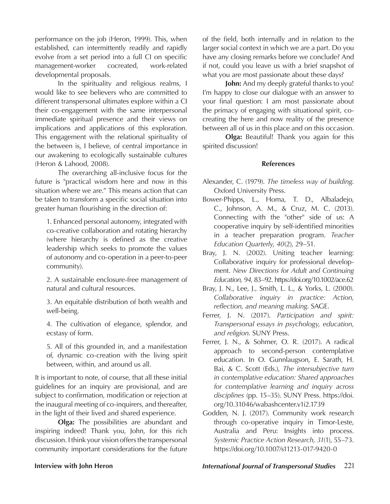performance on the job (Heron, 1999). This, when established, can intermittently readily and rapidly evolve from a set period into a full CI on specific management-worker cocreated, work-related developmental proposals.

In the spirituality and religious realms, I would like to see believers who are committed to different transpersonal ultimates explore within a CI their co-engagement with the same interpersonal immediate spiritual presence and their views on implications and applications of this exploration. This engagement with the relational spirituality of the between is, I believe, of central importance in our awakening to ecologically sustainable cultures (Heron & Lahood, 2008).

The overarching all-inclusive focus for the future is "practical wisdom here and now in this situation where we are." This means action that can be taken to transform a specific social situation into greater human flourishing in the direction of:

1. Enhanced personal autonomy, integrated with co-creative collaboration and rotating hierarchy (where hierarchy is defined as the creative leadership which seeks to promote the values of autonomy and co-operation in a peer-to-peer community).

2. A sustainable enclosure-free management of natural and cultural resources.

3. An equitable distribution of both wealth and well-being.

4. The cultivation of elegance, splendor, and ecstasy of form.

5. All of this grounded in, and a manifestation of, dynamic co-creation with the living spirit between, within, and around us all.

It is important to note, of course, that all these initial guidelines for an inquiry are provisional, and are subject to confirmation, modification or rejection at the inaugural meeting of co-inquirers, and thereafter, in the light of their lived and shared experience.

**Olga:** The possibilities are abundant and inspiring indeed! Thank you, John, for this rich discussion. I think your vision offers the transpersonal community important considerations for the future of the field, both internally and in relation to the larger social context in which we are a part. Do you have any closing remarks before we conclude? And if not, could you leave us with a brief snapshot of what you are most passionate about these days?

**John:** And my deeply grateful thanks to you! I'm happy to close our dialogue with an answer to your final question: I am most passionate about the primacy of engaging with situational spirit, cocreating the here and now reality of the presence between all of us in this place and on this occasion.

**Olga:** Beautiful! Thank you again for this spirited discussion!

### **References**

- Alexander, C. (1979). *The timeless way of building*. Oxford University Press.
- Bower-Phipps, L., Homa, T. D., Albaladejo, C., Johnson, A. M., & Cruz, M. C. (2013). Connecting with the "other" side of us: A cooperative inquiry by self-identified minorities in a teacher preparation program. *Teacher Education Quarterly*, *40*(2), 29–51.
- Bray, J. N. (2002). Uniting teacher learning: Collaborative inquiry for professional development. *New Directions for Adult and Continuing Education, 94*, 83–92. https://doi.org/10.1002/ace.62
- Bray, J. N., Lee, J., Smith, L. L., & Yorks, L. (2000). *Collaborative inquiry in practice: Action, reflection, and meaning making*. SAGE.
- Ferrer, J. N. (2017). *Participation and spirit: Transpersonal essays in psychology, education, and religion*. SUNY Press.
- Ferrer, J. N., & Sohmer, O. R. (2017). A radical approach to second-person contemplative education. In O. Gunnlaugson, E. Sarath, H. Bai, & C. Scott (Eds.), *The intersubjective turn in contemplative education: Shared approaches for contemplative learning and inquiry across disciplines* (pp. 15–35). SUNY Press. https://doi. org/10.31046/wabashcenter.v1i2.1739
- Godden, N. J. (2017). Community work research through co-operative inquiry in Timor-Leste, Australia and Peru: Insights into process. *Systemic Practice Action Research, 31*(1), 55–73. https://doi.org/10.1007/s11213-017-9420-0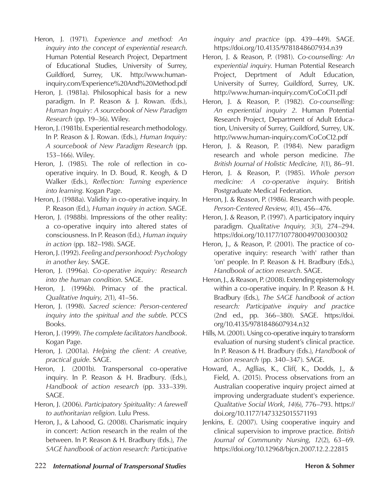- Heron, J. (1971). *Experience and method: An inquiry into the concept of experiential research*. Human Potential Research Project, Department of Educational Studies, University of Surrey, Guildford, Surrey, UK. http://www.humaninquiry.com/Experience%20And%20Method.pdf
- Heron, J. (1981a). Philosophical basis for a new paradigm. In P. Reason & J. Rowan. (Eds.), *Human Inquiry: A sourcebook of New Paradigm Research* (pp. 19–36). Wiley.
- Heron, J. (1981b). Experiential research methodology. In P. Reason & J. Rowan. (Eds.), *Human Inquiry: A sourcebook of New Paradigm Research* (pp. 153–166). Wiley.
- Heron, J. (1985). The role of reflection in cooperative inquiry. In D. Boud, R. Keogh, & D Walker (Eds.), *Reflection: Turning experience into learning*. Kogan Page.
- Heron, J. (1988a). Validity in co-operative inquiry. In P. Reason (Ed.), *Human inquiry in action*. SAGE.
- Heron, J. (1988b). Impressions of the other reality: a co-operative inquiry into altered states of consciousness. In P. Reason (Ed.), *Human inquiry in action* (pp. 182–198). SAGE.
- Heron, J. (1992). *Feeling and personhood: Psychology in another key*. SAGE.
- Heron, J. (1996a). *Co-operative inquiry: Research into the human condition*. SAGE.
- Heron, J. (1996b). Primacy of the practical. *Qualitative Inquiry, 2*(1), 41–56.
- Heron, J. (1998). *Sacred science: Person-centered inquiry into the spiritual and the subtle*. PCCS Books.
- Heron, J. (1999). *The complete facilitators handbook*. Kogan Page.
- Heron, J. (2001a). *Helping the client: A creative, practical guide*. SAGE.
- Heron, J. (2001b). Transpersonal co-operative inquiry. In P. Reason & H. Bradbury. (Eds.), *Handbook of action research* (pp. 333–339). SAGE.
- Heron, J. (2006). *Participatory Spirituality: A farewell to authoritarian religion*. Lulu Press.
- Heron, J., & Lahood, G. (2008). Charismatic inquiry in concert: Action research in the realm of the between. In P. Reason & H. Bradbury (Eds.), *The SAGE handbook of action research: Participative*

*inquiry and practice* (pp. 439–449). SAGE. https://doi.org/10.4135/9781848607934.n39

- Heron, J. & Reason, P. (1981). *Co-counselling: An experiential inquiry*. Human Potential Research Project, Deprtment of Adult Education, University of Surrey, Guildford, Surrey, UK. http://www.human-inquiry.com/CoCoCI1.pdf
- Heron, J. & Reason, P. (1982). *Co-counselling: An experiential inquiry 2*. Human Potential Research Project, Department of Adult Education, University of Surrey, Guildford, Surrey, UK. http://www.human-inquiry.com/CoCoCI2.pdf
- Heron, J. & Reason, P. (1984). New paradigm research and whole person medicine. *The British Journal of Holistic Medicine, 1*(1), 86–91.
- Heron, J. & Reason, P. (1985). *Whole person medicine: A co-operative inquiry*. British Postgraduate Medical Federation.
- Heron, J. & Reason, P. (1986). Research with people. *Person-Centered Review, 4*(1), 456–476.
- Heron, J. & Reason, P. (1997). A participatory inquiry paradigm. *Qualitative Inquiry, 3*(3), 274–294. https://doi.org/10.1177/107780049700300302
- Heron, J., & Reason, P. (2001). The practice of cooperative inquiry: research 'with' rather than 'on' people. In P. Reason & H. Bradbury (Eds.), *Handbook of action research*. SAGE.
- Heron, J., & Reason, P. (2008). Extending epistemology within a co-operative inquiry. In P. Reason & H. Bradbury (Eds.), *The SAGE handbook of action research: Participative inquiry and practice* (2nd ed., pp. 366–380). SAGE. https://doi. org/10.4135/9781848607934.n32
- Hills, M. (2001). Using co-operative inquiry to transform evaluation of nursing student's clinical practice. In P. Reason & H. Bradbury (Eds.), *Handbook of action research* (pp. 340–347). SAGE.
- Howard, A., Agllias, K., Cliff, K., Dodds, J., & Field, A. (2015). Process observations from an Australian cooperative inquiry project aimed at improving undergraduate student's experience. *Qualitative Social Work*, *14*(6), 776–793. https:// doi.org/10.1177/1473325015571193
- Jenkins, E. (2007). Using cooperative inquiry and clinical supervision to improve practice. *British Journal of Community Nursing*, *12*(2), 63–69. https://doi.org/10.12968/bjcn.2007.12.2.22815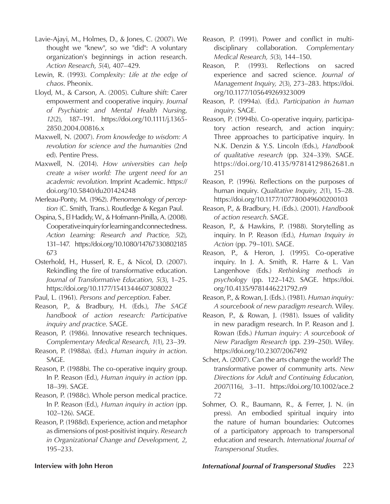- Lavie-Ajayi, M., Holmes, D., & Jones, C. (2007). We thought we "knew", so we "did": A voluntary organization's beginnings in action research. *Action Research*, *5*(4), 407–429.
- Lewin, R. (1993). *Complexity: Life at the edge of chaos*. Pheonix.
- Lloyd, M., & Carson, A. (2005). Culture shift: Carer empowerment and cooperative inquiry. *Journal of Psychiatric and Mental Health Nursing*, *12*(2), 187–191. https://doi.org/10.1111/j.1365- 2850.2004.00816.x
- Maxwell, N. (2007). *From knowledge to wisdom: A revolution for science and the humanities* (2nd ed). Pentire Press.
- Maxwell, N. (2014). *How universities can help create a wiser world: The urgent need for an academic revolution*. Imprint Academic. https:// doi.org/10.5840/du201424248
- Merleau-Ponty, M. (1962). *Phenomenology of perception* (C. Smith, Trans.). Routledge & Kegan Paul.
- Ospina, S., El Hadidy, W., & Hofmann-Pinilla, A. (2008). Cooperative inquiry for learning and connectedness. *Action Learning: Research and Practice, 5*(2), 131–147. https://doi.org/10.1080/14767330802185 673
- Osterhold, H., Husserl, R. E., & Nicol, D. (2007). Rekindling the fire of transformative education. *Journal of Transformative Education, 5*(3), 1–25. https://doi.org/10.1177/1541344607308022
- Paul, L. (1961). *Persons and perception*. Faber.
- Reason, P., & Bradbury, H. (Eds.), *The SAGE handbook of action research: Participative inquiry and practice*. SAGE.
- Reason, P. (1986). Innovative research techniques. *Complementary Medical Research, 1*(1), 23–39.
- Reason, P. (1988a). (Ed.). *Human inquiry in action*. SAGE.
- Reason, P. (1988b). The co-operative inquiry group. In P. Reason (Ed.), *Human inquiry in action* (pp. 18–39). SAGE.
- Reason, P. (1988c). Whole person medical practice. In P. Reason (Ed.), *Human inquiry in action* (pp. 102–126). SAGE.
- Reason, P. (1988d). Experience, action and metaphor as dimensions of post-positivist inquiry. *Research in Organizational Change and Development, 2*, 195–233.
- Reason, P. (1991). Power and conflict in multidisciplinary collaboration. *Complementary Medical Research, 5*(3), 144–150.
- Reason, P. (1993). Reflections on sacred experience and sacred science. *Journal of Management Inquiry, 2*(3), 273–283. https://doi. org/10.1177/105649269323009
- Reason, P. (1994a). (Ed.). *Participation in human inquiry*. SAGE.
- Reason, P. (1994b). Co-operative inquiry, participatory action research, and action inquiry: Three approaches to participative inquiry. In N.K. Denzin & Y.S. Lincoln (Eds.), *Handbook of qualitative research* (pp. 324–339). SAGE. https://doi.org/10.4135/97814129862681.n 251
- Reason, P. (1996). Reflections on the purposes of human inquiry. *Qualitative Inquiry, 2*(1), 15–28. https://doi.org/10.1177/107780049600200103
- Reason, P., & Bradbury, H. (Eds.). (2001). *Handbook of action research*. SAGE.
- Reason, P., & Hawkins, P. (1988). Storytelling as inquiry. In P. Reason (Ed.), *Human Inquiry in Action* (pp. 79–101). SAGE.
- Reason, P., & Heron, J. (1995). Co-operative inquiry. In J. A. Smith, R. Harre & L. Van Langenhove (Eds.) *Rethinking methods in psychology* (pp. 122–142). SAGE. https://doi. org/10.4135/9781446221792.n9
- Reason, P., & Rowan, J. (Eds.). (1981). *Human inquiry: A sourcebook of new paradigm research*. Wiley.
- Reason, P., & Rowan, J. (1981). Issues of validity in new paradigm research. In P. Reason and J. Rowan (Eds.) *Human inquiry: A sourcebook of New Paradigm Research* (pp. 239–250). Wiley. https://doi.org/10.2307/2067492
- Scher, A. (2007). Can the arts change the world? The transformative power of community arts. *New Directions for Adult and Continuing Education*, *2007*(116), 3–11. https://doi.org/10.1002/ace.2 72
- Sohmer, O. R., Baumann, R., & Ferrer, J. N. (in press). An embodied spiritual inquiry into the nature of human boundaries: Outcomes of a participatory approach to transpersonal education and research. *International Journal of Transpersonal Studies*.

### **Interview with John Heron** *International Journal of Transpersonal Studies* 223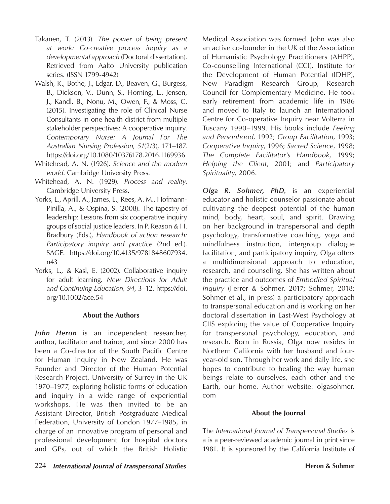- Takanen, T. (2013). *The power of being present at work: Co-creative process inquiry as a developmental approach* (Doctoral dissertation). Retrieved from Aalto University publication series. (ISSN 1799-4942)
- Walsh, K., Bothe, J., Edgar, D., Beaven, G., Burgess, B., Dickson, V., Dunn, S., Horning, L., Jensen, J., Kandl. B., Nonu, M., Owen, F., & Moss, C. (2015). Investigating the role of Clinical Nurse Consultants in one health district from multiple stakeholder perspectives: A cooperative inquiry. *Contemporary Nurse: A Journal For The Australian Nursing Profession*, *51*(2/3), 171–187. https://doi.org/10.1080/10376178.2016.1169936
- Whitehead, A. N. (1926). *Science and the modern world*. Cambridge University Press.
- Whitehead, A. N. (1929). *Process and reality*. Cambridge University Press.
- Yorks, L., Aprill, A., James, L., Rees, A. M., Hofmann-Pinilla, A., & Ospina, S. (2008). The tapestry of leadership: Lessons from six cooperative inquiry groups of social justice leaders. In P. Reason & H. Bradbury (Eds.), *Handbook of action research: Participatory inquiry and practice* (2nd ed.). SAGE. https://doi.org/10.4135/9781848607934. n43
- Yorks, L., & Kasl, E. (2002). Collaborative inquiry for adult learning. *New Directions for Adult and Continuing Education, 94*, 3–12. https://doi. org/10.1002/ace.54

### **About the Authors**

*John Heron* is an independent researcher, author, facilitator and trainer, and since 2000 has been a Co-director of the South Pacific Centre for Human Inquiry in New Zealand. He was Founder and Director of the Human Potential Research Project, University of Surrey in the UK 1970–1977, exploring holistic forms of education and inquiry in a wide range of experiential workshops. He was then invited to be an Assistant Director, British Postgraduate Medical Federation, University of London 1977–1985, in charge of an innovative program of personal and professional development for hospital doctors and GPs, out of which the British Holistic

Medical Association was formed. John was also an active co-founder in the UK of the Association of Humanistic Psychology Practitioners (AHPP), Co-counselling International (CCI), Institute for the Development of Human Potential (IDHP), New Paradigm Research Group, Research Council for Complementary Medicine. He took early retirement from academic life in 1986 and moved to Italy to launch an International Centre for Co-operative Inquiry near Volterra in Tuscany 1990–1999. His books include *Feeling and Personhood*, 1992; *Group Facilitation*, 1993; *Cooperative Inquiry*, 1996; *Sacred Science*, 1998; *The Complete Facilitator's Handbook*, 1999; *Helping the Client*, 2001; and *Participatory Spirituality*, 2006.

*Olga R. Sohmer, PhD,* is an experiential educator and holistic counselor passionate about cultivating the deepest potential of the human mind, body, heart, soul, and spirit. Drawing on her background in transpersonal and depth psychology, transformative coaching, yoga and mindfulness instruction, intergroup dialogue facilitation, and participatory inquiry, Olga offers a multidimensional approach to education, research, and counseling. She has written about the practice and outcomes of *Embodied Spiritual Inquiry* (Ferrer & Sohmer, 2017; Sohmer, 2018; Sohmer et al., in press) a participatory approach to transpersonal education and is working on her doctoral dissertation in East-West Psychology at CIIS exploring the value of Cooperative Inquiry for transpersonal psychology, education, and research. Born in Russia, Olga now resides in Northern California with her husband and fouryear-old son. Through her work and daily life, she hopes to contribute to healing the way human beings relate to ourselves, each other and the Earth, our home. Author website: olgasohmer. com

### **About the Journal**

The *International Journal of Transpersonal Studies* is a is a peer-reviewed academic journal in print since 1981. It is sponsored by the California Institute of

224 *International Journal of Transpersonal Studies* **Heron & Sohmer Heron & Sohmer**